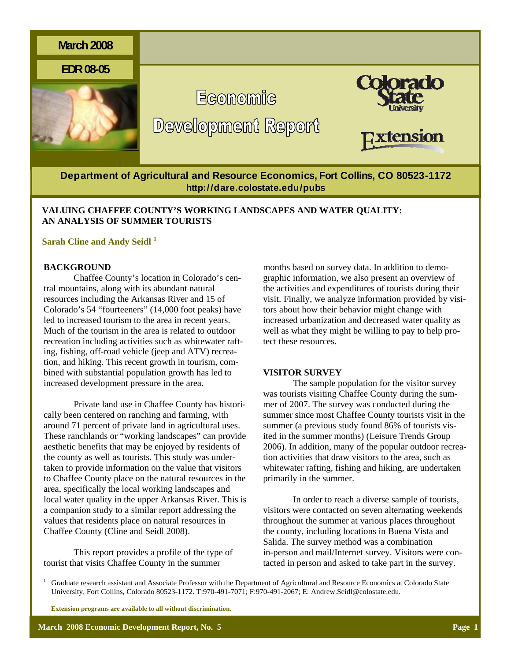

**Department of Agricultural and Resource Economics, Fort Collins, CO 80523-1172 http://dare.colostate.edu/pubs** 

# **VALUING CHAFFEE COUNTY'S WORKING LANDSCAPES AND WATER QUALITY: AN ANALYSIS OF SUMMER TOURISTS**

# **Sarah Cline and Andy Seidl <sup>1</sup>**

## **BACKGROUND**

Chaffee County's location in Colorado's central mountains, along with its abundant natural resources including the Arkansas River and 15 of Colorado's 54 "fourteeners" (14,000 foot peaks) have led to increased tourism to the area in recent years. Much of the tourism in the area is related to outdoor recreation including activities such as whitewater rafting, fishing, off-road vehicle (jeep and ATV) recreation, and hiking. This recent growth in tourism, combined with substantial population growth has led to increased development pressure in the area.

Private land use in Chaffee County has historically been centered on ranching and farming, with around 71 percent of private land in agricultural uses. These ranchlands or "working landscapes" can provide aesthetic benefits that may be enjoyed by residents of the county as well as tourists. This study was undertaken to provide information on the value that visitors to Chaffee County place on the natural resources in the area, specifically the local working landscapes and local water quality in the upper Arkansas River. This is a companion study to a similar report addressing the values that residents place on natural resources in Chaffee County (Cline and Seidl 2008).

This report provides a profile of the type of tourist that visits Chaffee County in the summer

months based on survey data. In addition to demographic information, we also present an overview of the activities and expenditures of tourists during their visit. Finally, we analyze information provided by visitors about how their behavior might change with increased urbanization and decreased water quality as well as what they might be willing to pay to help protect these resources.

#### **VISITOR SURVEY**

The sample population for the visitor survey was tourists visiting Chaffee County during the summer of 2007. The survey was conducted during the summer since most Chaffee County tourists visit in the summer (a previous study found 86% of tourists visited in the summer months) (Leisure Trends Group 2006). In addition, many of the popular outdoor recreation activities that draw visitors to the area, such as whitewater rafting, fishing and hiking, are undertaken primarily in the summer.

In order to reach a diverse sample of tourists, visitors were contacted on seven alternating weekends throughout the summer at various places throughout the county, including locations in Buena Vista and Salida. The survey method was a combination in-person and mail/Internet survey. Visitors were contacted in person and asked to take part in the survey.

1 Graduate research assistant and Associate Professor with the Department of Agricultural and Resource Economics at Colorado State University, Fort Collins, Colorado 80523-1172. T:970-491-7071; F:970-491-2067; E: Andrew.Seidl@colostate.edu.

 **Extension programs are available to all without discrimination.**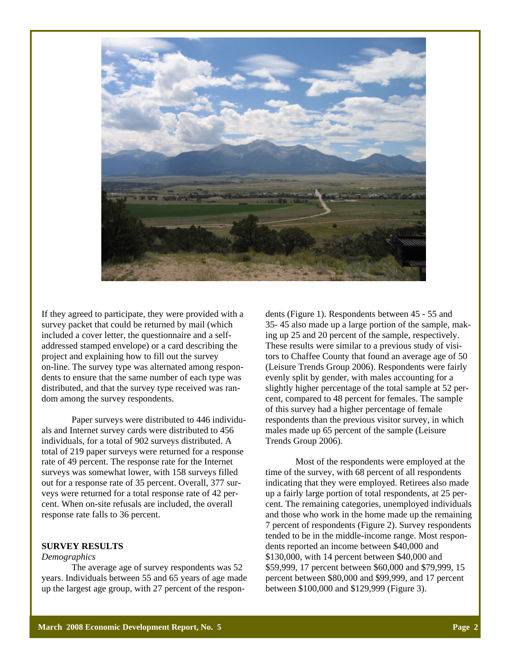

If they agreed to participate, they were provided with a survey packet that could be returned by mail (which included a cover letter, the questionnaire and a selfaddressed stamped envelope) or a card describing the project and explaining how to fill out the survey on-line. The survey type was alternated among respondents to ensure that the same number of each type was distributed, and that the survey type received was random among the survey respondents.

 Paper surveys were distributed to 446 individuals and Internet survey cards were distributed to 456 individuals, for a total of 902 surveys distributed. A total of 219 paper surveys were returned for a response rate of 49 percent. The response rate for the Internet surveys was somewhat lower, with 158 surveys filled out for a response rate of 35 percent. Overall, 377 surveys were returned for a total response rate of 42 percent. When on-site refusals are included, the overall response rate falls to 36 percent.

## **SURVEY RESULTS**

#### *Demographics*

 The average age of survey respondents was 52 years. Individuals between 55 and 65 years of age made up the largest age group, with 27 percent of the respon-

dents (Figure 1). Respondents between 45 - 55 and 35- 45 also made up a large portion of the sample, making up 25 and 20 percent of the sample, respectively. These results were similar to a previous study of visitors to Chaffee County that found an average age of 50 (Leisure Trends Group 2006). Respondents were fairly evenly split by gender, with males accounting for a slightly higher percentage of the total sample at 52 percent, compared to 48 percent for females. The sample of this survey had a higher percentage of female respondents than the previous visitor survey, in which males made up 65 percent of the sample (Leisure Trends Group 2006).

 Most of the respondents were employed at the time of the survey, with 68 percent of all respondents indicating that they were employed. Retirees also made up a fairly large portion of total respondents, at 25 percent. The remaining categories, unemployed individuals and those who work in the home made up the remaining 7 percent of respondents (Figure 2). Survey respondents tended to be in the middle-income range. Most respondents reported an income between \$40,000 and \$130,000, with 14 percent between \$40,000 and \$59,999, 17 percent between \$60,000 and \$79,999, 15 percent between \$80,000 and \$99,999, and 17 percent between \$100,000 and \$129,999 (Figure 3).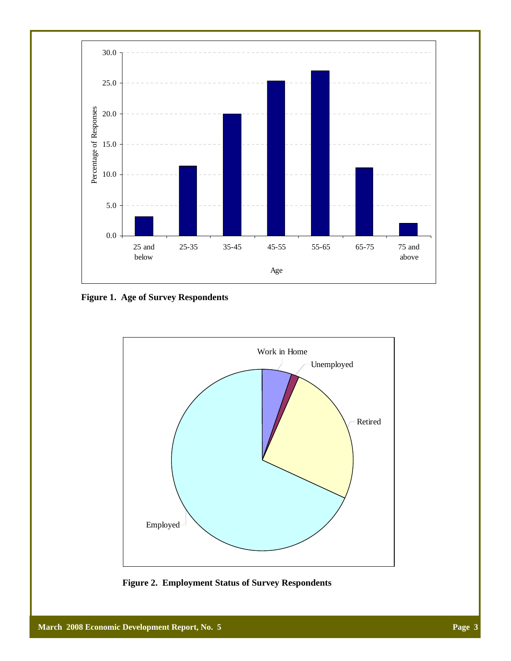

**Figure 1. Age of Survey Respondents** 



**Figure 2. Employment Status of Survey Respondents**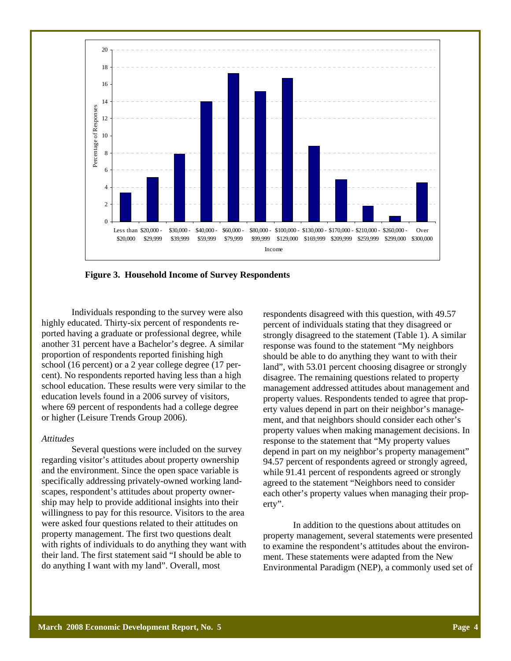

**Figure 3. Household Income of Survey Respondents** 

 Individuals responding to the survey were also highly educated. Thirty-six percent of respondents reported having a graduate or professional degree, while another 31 percent have a Bachelor's degree. A similar proportion of respondents reported finishing high school (16 percent) or a 2 year college degree (17 percent). No respondents reported having less than a high school education. These results were very similar to the education levels found in a 2006 survey of visitors, where 69 percent of respondents had a college degree or higher (Leisure Trends Group 2006).

#### *Attitudes*

 Several questions were included on the survey regarding visitor's attitudes about property ownership and the environment. Since the open space variable is specifically addressing privately-owned working landscapes, respondent's attitudes about property ownership may help to provide additional insights into their willingness to pay for this resource. Visitors to the area were asked four questions related to their attitudes on property management. The first two questions dealt with rights of individuals to do anything they want with their land. The first statement said "I should be able to do anything I want with my land". Overall, most

respondents disagreed with this question, with 49.57 percent of individuals stating that they disagreed or strongly disagreed to the statement (Table 1). A similar response was found to the statement "My neighbors should be able to do anything they want to with their land", with 53.01 percent choosing disagree or strongly disagree. The remaining questions related to property management addressed attitudes about management and property values. Respondents tended to agree that property values depend in part on their neighbor's management, and that neighbors should consider each other's property values when making management decisions. In response to the statement that "My property values depend in part on my neighbor's property management" 94.57 percent of respondents agreed or strongly agreed, while 91.41 percent of respondents agreed or strongly agreed to the statement "Neighbors need to consider each other's property values when managing their property".

 In addition to the questions about attitudes on property management, several statements were presented to examine the respondent's attitudes about the environment. These statements were adapted from the New Environmental Paradigm (NEP), a commonly used set of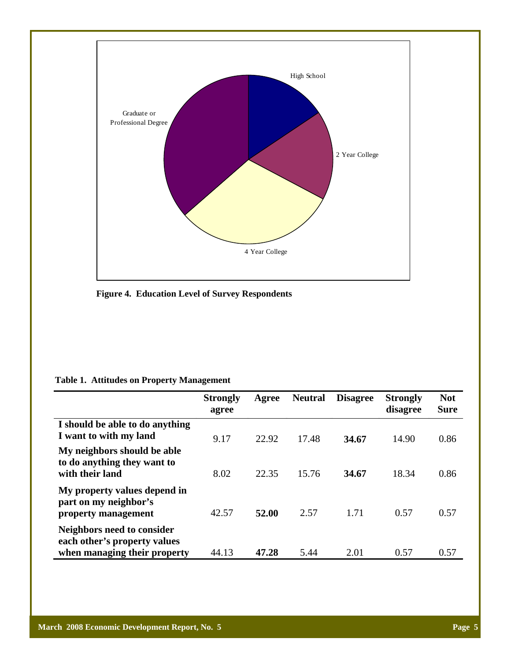

**Figure 4. Education Level of Survey Respondents** 

|  |  |  | <b>Table 1. Attitudes on Property Management</b> |
|--|--|--|--------------------------------------------------|
|--|--|--|--------------------------------------------------|

|                                                                                            | <b>Strongly</b><br>agree | Agree | <b>Neutral</b> | <b>Disagree</b> | <b>Strongly</b><br>disagree | <b>Not</b><br><b>Sure</b> |
|--------------------------------------------------------------------------------------------|--------------------------|-------|----------------|-----------------|-----------------------------|---------------------------|
| I should be able to do anything<br>I want to with my land                                  | 9.17                     | 22.92 | 17.48          | 34.67           | 14.90                       | 0.86                      |
| My neighbors should be able<br>to do anything they want to<br>with their land              | 8.02                     | 22.35 | 15.76          | 34.67           | 18.34                       | 0.86                      |
| My property values depend in<br>part on my neighbor's<br>property management               | 42.57                    | 52.00 | 2.57           | 1.71            | 0.57                        | 0.57                      |
| Neighbors need to consider<br>each other's property values<br>when managing their property | 44.13                    | 47.28 | 5.44           | 2.01            | 0.57                        | 0.57                      |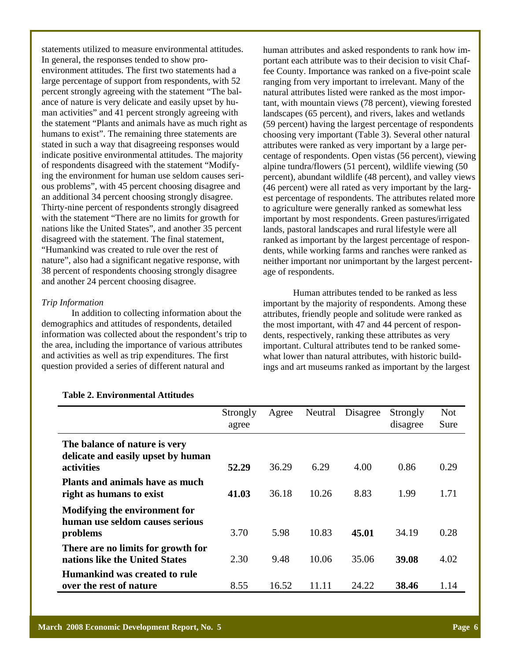statements utilized to measure environmental attitudes. In general, the responses tended to show proenvironment attitudes. The first two statements had a large percentage of support from respondents, with 52 percent strongly agreeing with the statement "The balance of nature is very delicate and easily upset by human activities" and 41 percent strongly agreeing with the statement "Plants and animals have as much right as humans to exist". The remaining three statements are stated in such a way that disagreeing responses would indicate positive environmental attitudes. The majority of respondents disagreed with the statement "Modifying the environment for human use seldom causes serious problems", with 45 percent choosing disagree and an additional 34 percent choosing strongly disagree. Thirty-nine percent of respondents strongly disagreed with the statement "There are no limits for growth for nations like the United States", and another 35 percent disagreed with the statement. The final statement, "Humankind was created to rule over the rest of nature", also had a significant negative response, with 38 percent of respondents choosing strongly disagree and another 24 percent choosing disagree.

### *Trip Information*

 In addition to collecting information about the demographics and attitudes of respondents, detailed information was collected about the respondent's trip to the area, including the importance of various attributes and activities as well as trip expenditures. The first question provided a series of different natural and

human attributes and asked respondents to rank how important each attribute was to their decision to visit Chaffee County. Importance was ranked on a five-point scale ranging from very important to irrelevant. Many of the natural attributes listed were ranked as the most important, with mountain views (78 percent), viewing forested landscapes (65 percent), and rivers, lakes and wetlands (59 percent) having the largest percentage of respondents choosing very important (Table 3). Several other natural attributes were ranked as very important by a large percentage of respondents. Open vistas (56 percent), viewing alpine tundra/flowers (51 percent), wildlife viewing (50 percent), abundant wildlife (48 percent), and valley views (46 percent) were all rated as very important by the largest percentage of respondents. The attributes related more to agriculture were generally ranked as somewhat less important by most respondents. Green pastures/irrigated lands, pastoral landscapes and rural lifestyle were all ranked as important by the largest percentage of respondents, while working farms and ranches were ranked as neither important nor unimportant by the largest percentage of respondents.

 Human attributes tended to be ranked as less important by the majority of respondents. Among these attributes, friendly people and solitude were ranked as the most important, with 47 and 44 percent of respondents, respectively, ranking these attributes as very important. Cultural attributes tend to be ranked somewhat lower than natural attributes, with historic buildings and art museums ranked as important by the largest

|                                                                                   | Strongly<br>agree | Agree | Neutral | Disagree | Strongly<br>disagree | <b>Not</b><br>Sure |
|-----------------------------------------------------------------------------------|-------------------|-------|---------|----------|----------------------|--------------------|
| The balance of nature is very<br>delicate and easily upset by human<br>activities | 52.29             | 36.29 | 6.29    | 4.00     | 0.86                 | 0.29               |
| <b>Plants and animals have as much</b><br>right as humans to exist                | 41.03             | 36.18 | 10.26   | 8.83     | 1.99                 | 1.71               |
| Modifying the environment for<br>human use seldom causes serious<br>problems      | 3.70              | 5.98  | 10.83   | 45.01    | 34.19                | 0.28               |
| There are no limits for growth for<br>nations like the United States              | 2.30              | 9.48  | 10.06   | 35.06    | 39.08                | 4.02               |
| <b>Humankind was created to rule</b><br>over the rest of nature                   | 8.55              | 16.52 | 11.11   | 24.22    | 38.46                | 1.14               |

#### **Table 2. Environmental Attitudes**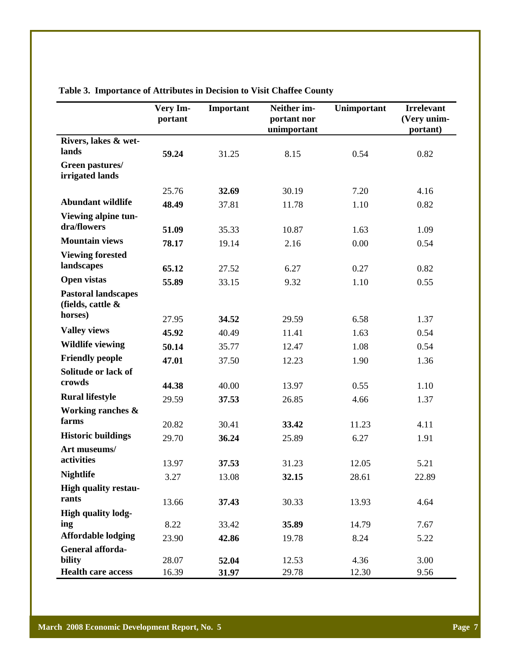|                                                               | Very Im-<br>portant | Important | Neither im-<br>portant nor<br>unimportant | Unimportant | <b>Irrelevant</b><br>(Very unim-<br>portant) |
|---------------------------------------------------------------|---------------------|-----------|-------------------------------------------|-------------|----------------------------------------------|
| Rivers, lakes & wet-                                          |                     |           |                                           |             |                                              |
| lands                                                         | 59.24               | 31.25     | 8.15                                      | 0.54        | 0.82                                         |
| Green pastures/<br>irrigated lands                            |                     |           |                                           |             |                                              |
|                                                               | 25.76               | 32.69     | 30.19                                     | 7.20        | 4.16                                         |
| <b>Abundant wildlife</b>                                      | 48.49               | 37.81     | 11.78                                     | 1.10        | 0.82                                         |
| Viewing alpine tun-                                           |                     |           |                                           |             |                                              |
| dra/flowers                                                   | 51.09               | 35.33     | 10.87                                     | 1.63        | 1.09                                         |
| <b>Mountain views</b>                                         | 78.17               | 19.14     | 2.16                                      | 0.00        | 0.54                                         |
| <b>Viewing forested</b>                                       |                     |           |                                           |             |                                              |
| landscapes                                                    | 65.12               | 27.52     | 6.27                                      | 0.27        | 0.82                                         |
| <b>Open vistas</b>                                            | 55.89               | 33.15     | 9.32                                      | 1.10        | 0.55                                         |
| <b>Pastoral landscapes</b><br>(fields, cattle $\&$<br>horses) |                     |           |                                           |             |                                              |
|                                                               | 27.95               | 34.52     | 29.59                                     | 6.58        | 1.37                                         |
| <b>Valley views</b>                                           | 45.92               | 40.49     | 11.41                                     | 1.63        | 0.54                                         |
| <b>Wildlife viewing</b>                                       | 50.14               | 35.77     | 12.47                                     | 1.08        | 0.54                                         |
| <b>Friendly people</b>                                        | 47.01               | 37.50     | 12.23                                     | 1.90        | 1.36                                         |
| Solitude or lack of                                           |                     |           |                                           |             |                                              |
| crowds                                                        | 44.38               | 40.00     | 13.97                                     | 0.55        | 1.10                                         |
| <b>Rural lifestyle</b>                                        | 29.59               | 37.53     | 26.85                                     | 4.66        | 1.37                                         |
| Working ranches &                                             |                     |           |                                           |             |                                              |
| farms                                                         | 20.82               | 30.41     | 33.42                                     | 11.23       | 4.11                                         |
| <b>Historic buildings</b>                                     | 29.70               | 36.24     | 25.89                                     | 6.27        | 1.91                                         |
| Art museums/                                                  |                     |           |                                           |             |                                              |
| activities                                                    | 13.97               | 37.53     | 31.23                                     | 12.05       | 5.21                                         |
| <b>Nightlife</b>                                              | 3.27                | 13.08     | 32.15                                     | 28.61       | 22.89                                        |
| <b>High quality restau-</b>                                   |                     |           |                                           |             |                                              |
| rants                                                         | 13.66               | 37.43     | 30.33                                     | 13.93       | 4.64                                         |
| <b>High quality lodg-</b>                                     |                     |           |                                           |             |                                              |
| ing                                                           | 8.22                | 33.42     | 35.89                                     | 14.79       | 7.67                                         |
| <b>Affordable lodging</b><br>General afforda-                 | 23.90               | 42.86     | 19.78                                     | 8.24        | 5.22                                         |
| bility                                                        | 28.07               | 52.04     | 12.53                                     | 4.36        | 3.00                                         |
| <b>Health care access</b>                                     | 16.39               | 31.97     | 29.78                                     | 12.30       | 9.56                                         |

**Table 3. Importance of Attributes in Decision to Visit Chaffee County**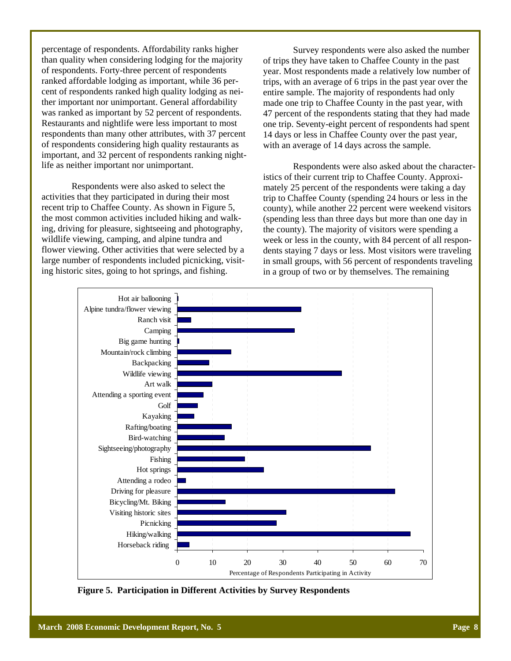percentage of respondents. Affordability ranks higher than quality when considering lodging for the majority of respondents. Forty-three percent of respondents ranked affordable lodging as important, while 36 percent of respondents ranked high quality lodging as neither important nor unimportant. General affordability was ranked as important by 52 percent of respondents. Restaurants and nightlife were less important to most respondents than many other attributes, with 37 percent of respondents considering high quality restaurants as important, and 32 percent of respondents ranking nightlife as neither important nor unimportant.

 Respondents were also asked to select the activities that they participated in during their most recent trip to Chaffee County. As shown in Figure 5, the most common activities included hiking and walking, driving for pleasure, sightseeing and photography, wildlife viewing, camping, and alpine tundra and flower viewing. Other activities that were selected by a large number of respondents included picnicking, visiting historic sites, going to hot springs, and fishing.

 Survey respondents were also asked the number of trips they have taken to Chaffee County in the past year. Most respondents made a relatively low number of trips, with an average of 6 trips in the past year over the entire sample. The majority of respondents had only made one trip to Chaffee County in the past year, with 47 percent of the respondents stating that they had made one trip. Seventy-eight percent of respondents had spent 14 days or less in Chaffee County over the past year, with an average of 14 days across the sample.

 Respondents were also asked about the characteristics of their current trip to Chaffee County. Approximately 25 percent of the respondents were taking a day trip to Chaffee County (spending 24 hours or less in the county), while another 22 percent were weekend visitors (spending less than three days but more than one day in the county). The majority of visitors were spending a week or less in the county, with 84 percent of all respondents staying 7 days or less. Most visitors were traveling in small groups, with 56 percent of respondents traveling in a group of two or by themselves. The remaining



**Figure 5. Participation in Different Activities by Survey Respondents**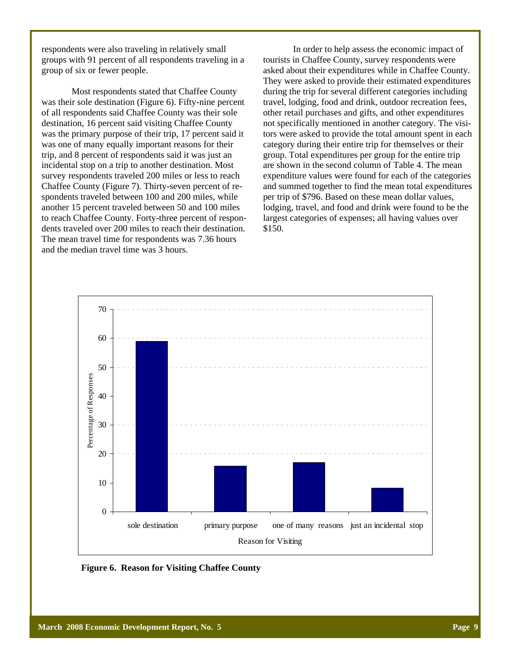respondents were also traveling in relatively small groups with 91 percent of all respondents traveling in a group of six or fewer people.

 Most respondents stated that Chaffee County was their sole destination (Figure 6). Fifty-nine percent of all respondents said Chaffee County was their sole destination, 16 percent said visiting Chaffee County was the primary purpose of their trip, 17 percent said it was one of many equally important reasons for their trip, and 8 percent of respondents said it was just an incidental stop on a trip to another destination. Most survey respondents traveled 200 miles or less to reach Chaffee County (Figure 7). Thirty-seven percent of respondents traveled between 100 and 200 miles, while another 15 percent traveled between 50 and 100 miles to reach Chaffee County. Forty-three percent of respondents traveled over 200 miles to reach their destination. The mean travel time for respondents was 7.36 hours and the median travel time was 3 hours.

 In order to help assess the economic impact of tourists in Chaffee County, survey respondents were asked about their expenditures while in Chaffee County. They were asked to provide their estimated expenditures during the trip for several different categories including travel, lodging, food and drink, outdoor recreation fees, other retail purchases and gifts, and other expenditures not specifically mentioned in another category. The visitors were asked to provide the total amount spent in each category during their entire trip for themselves or their group. Total expenditures per group for the entire trip are shown in the second column of Table 4. The mean expenditure values were found for each of the categories and summed together to find the mean total expenditures per trip of \$796. Based on these mean dollar values, lodging, travel, and food and drink were found to be the largest categories of expenses; all having values over \$150.



**Figure 6. Reason for Visiting Chaffee County**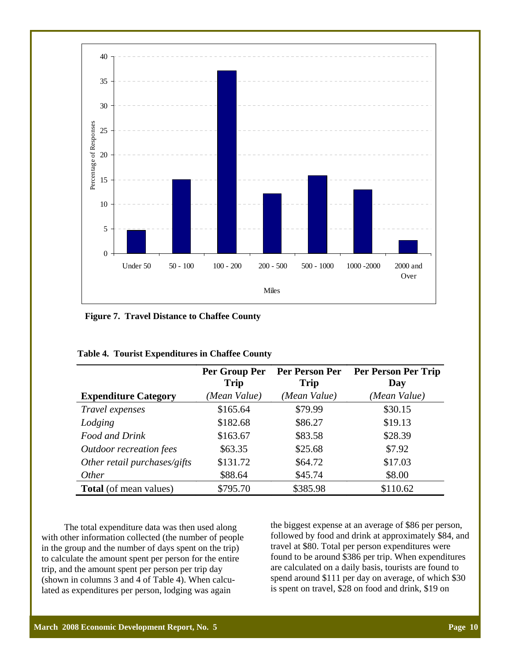

**Figure 7. Travel Distance to Chaffee County** 

|                                | Per Group Per<br><b>Trip</b> | Per Person Per<br><b>Trip</b> | Per Person Per Trip<br>Day |
|--------------------------------|------------------------------|-------------------------------|----------------------------|
| <b>Expenditure Category</b>    | (Mean Value)                 | (Mean Value)                  | (Mean Value)               |
| Travel expenses                | \$165.64                     | \$79.99                       | \$30.15                    |
| Lodging                        | \$182.68                     | \$86.27                       | \$19.13                    |
| Food and Drink                 | \$163.67                     | \$83.58                       | \$28.39                    |
| <b>Outdoor recreation fees</b> | \$63.35                      | \$25.68                       | \$7.92                     |
| Other retail purchases/gifts   | \$131.72                     | \$64.72                       | \$17.03                    |
| <i>Other</i>                   | \$88.64                      | \$45.74                       | \$8.00                     |
| <b>Total</b> (of mean values)  | \$795.70                     | \$385.98                      | \$110.62                   |

| Table 4. Tourist Expenditures in Chaffee County |  |  |  |  |
|-------------------------------------------------|--|--|--|--|
|-------------------------------------------------|--|--|--|--|

 The total expenditure data was then used along with other information collected (the number of people in the group and the number of days spent on the trip) to calculate the amount spent per person for the entire trip, and the amount spent per person per trip day (shown in columns 3 and 4 of Table 4). When calculated as expenditures per person, lodging was again

the biggest expense at an average of \$86 per person, followed by food and drink at approximately \$84, and travel at \$80. Total per person expenditures were found to be around \$386 per trip. When expenditures are calculated on a daily basis, tourists are found to spend around \$111 per day on average, of which \$30 is spent on travel, \$28 on food and drink, \$19 on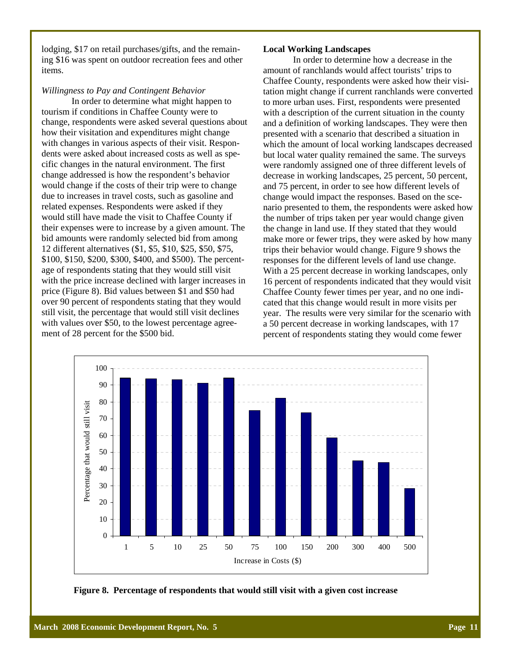lodging, \$17 on retail purchases/gifts, and the remaining \$16 was spent on outdoor recreation fees and other items.

### *Willingness to Pay and Contingent Behavior*

 In order to determine what might happen to tourism if conditions in Chaffee County were to change, respondents were asked several questions about how their visitation and expenditures might change with changes in various aspects of their visit. Respondents were asked about increased costs as well as specific changes in the natural environment. The first change addressed is how the respondent's behavior would change if the costs of their trip were to change due to increases in travel costs, such as gasoline and related expenses. Respondents were asked if they would still have made the visit to Chaffee County if their expenses were to increase by a given amount. The bid amounts were randomly selected bid from among 12 different alternatives (\$1, \$5, \$10, \$25, \$50, \$75, \$100, \$150, \$200, \$300, \$400, and \$500). The percentage of respondents stating that they would still visit with the price increase declined with larger increases in price (Figure 8). Bid values between \$1 and \$50 had over 90 percent of respondents stating that they would still visit, the percentage that would still visit declines with values over \$50, to the lowest percentage agreement of 28 percent for the \$500 bid.

#### **Local Working Landscapes**

 In order to determine how a decrease in the amount of ranchlands would affect tourists' trips to Chaffee County, respondents were asked how their visitation might change if current ranchlands were converted to more urban uses. First, respondents were presented with a description of the current situation in the county and a definition of working landscapes. They were then presented with a scenario that described a situation in which the amount of local working landscapes decreased but local water quality remained the same. The surveys were randomly assigned one of three different levels of decrease in working landscapes, 25 percent, 50 percent, and 75 percent, in order to see how different levels of change would impact the responses. Based on the scenario presented to them, the respondents were asked how the number of trips taken per year would change given the change in land use. If they stated that they would make more or fewer trips, they were asked by how many trips their behavior would change. Figure 9 shows the responses for the different levels of land use change. With a 25 percent decrease in working landscapes, only 16 percent of respondents indicated that they would visit Chaffee County fewer times per year, and no one indicated that this change would result in more visits per year. The results were very similar for the scenario with a 50 percent decrease in working landscapes, with 17 percent of respondents stating they would come fewer



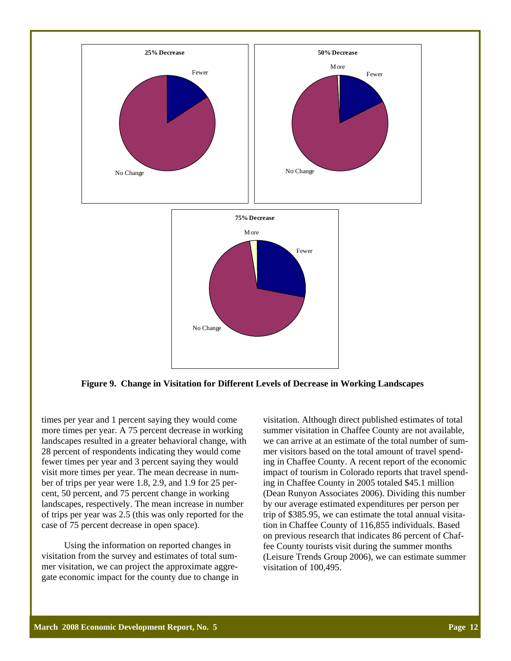

**Figure 9. Change in Visitation for Different Levels of Decrease in Working Landscapes** 

times per year and 1 percent saying they would come more times per year. A 75 percent decrease in working landscapes resulted in a greater behavioral change, with 28 percent of respondents indicating they would come fewer times per year and 3 percent saying they would visit more times per year. The mean decrease in number of trips per year were 1.8, 2.9, and 1.9 for 25 percent, 50 percent, and 75 percent change in working landscapes, respectively. The mean increase in number of trips per year was 2.5 (this was only reported for the case of 75 percent decrease in open space).

 Using the information on reported changes in visitation from the survey and estimates of total summer visitation, we can project the approximate aggregate economic impact for the county due to change in visitation. Although direct published estimates of total summer visitation in Chaffee County are not available, we can arrive at an estimate of the total number of summer visitors based on the total amount of travel spending in Chaffee County. A recent report of the economic impact of tourism in Colorado reports that travel spending in Chaffee County in 2005 totaled \$45.1 million (Dean Runyon Associates 2006). Dividing this number by our average estimated expenditures per person per trip of \$385.95, we can estimate the total annual visitation in Chaffee County of 116,855 individuals. Based on previous research that indicates 86 percent of Chaffee County tourists visit during the summer months (Leisure Trends Group 2006), we can estimate summer visitation of 100,495.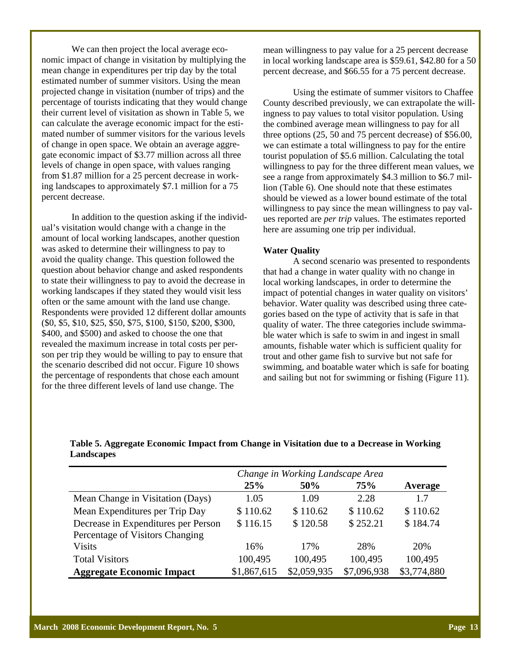We can then project the local average economic impact of change in visitation by multiplying the mean change in expenditures per trip day by the total estimated number of summer visitors. Using the mean projected change in visitation (number of trips) and the percentage of tourists indicating that they would change their current level of visitation as shown in Table 5, we can calculate the average economic impact for the estimated number of summer visitors for the various levels of change in open space. We obtain an average aggregate economic impact of \$3.77 million across all three levels of change in open space, with values ranging from \$1.87 million for a 25 percent decrease in working landscapes to approximately \$7.1 million for a 75 percent decrease.

 In addition to the question asking if the individual's visitation would change with a change in the amount of local working landscapes, another question was asked to determine their willingness to pay to avoid the quality change. This question followed the question about behavior change and asked respondents to state their willingness to pay to avoid the decrease in working landscapes if they stated they would visit less often or the same amount with the land use change. Respondents were provided 12 different dollar amounts (\$0, \$5, \$10, \$25, \$50, \$75, \$100, \$150, \$200, \$300, \$400, and \$500) and asked to choose the one that revealed the maximum increase in total costs per person per trip they would be willing to pay to ensure that the scenario described did not occur. Figure 10 shows the percentage of respondents that chose each amount for the three different levels of land use change. The

mean willingness to pay value for a 25 percent decrease in local working landscape area is \$59.61, \$42.80 for a 50 percent decrease, and \$66.55 for a 75 percent decrease.

Using the estimate of summer visitors to Chaffee County described previously, we can extrapolate the willingness to pay values to total visitor population. Using the combined average mean willingness to pay for all three options (25, 50 and 75 percent decrease) of \$56.00, we can estimate a total willingness to pay for the entire tourist population of \$5.6 million. Calculating the total willingness to pay for the three different mean values, we see a range from approximately \$4.3 million to \$6.7 million (Table 6). One should note that these estimates should be viewed as a lower bound estimate of the total willingness to pay since the mean willingness to pay values reported are *per trip* values. The estimates reported here are assuming one trip per individual.

#### **Water Quality**

 A second scenario was presented to respondents that had a change in water quality with no change in local working landscapes, in order to determine the impact of potential changes in water quality on visitors' behavior. Water quality was described using three categories based on the type of activity that is safe in that quality of water. The three categories include swimmable water which is safe to swim in and ingest in small amounts, fishable water which is sufficient quality for trout and other game fish to survive but not safe for swimming, and boatable water which is safe for boating and sailing but not for swimming or fishing (Figure 11).

## **Table 5. Aggregate Economic Impact from Change in Visitation due to a Decrease in Working Landscapes**

|                                     | Change in Working Landscape Area |             |             |             |
|-------------------------------------|----------------------------------|-------------|-------------|-------------|
|                                     | 25%                              | 50%         | <b>75%</b>  | Average     |
| Mean Change in Visitation (Days)    | 1.05                             | 1.09        | 2.28        | 1.7         |
| Mean Expenditures per Trip Day      | \$110.62                         | \$110.62    | \$110.62    | \$110.62    |
| Decrease in Expenditures per Person | \$116.15                         | \$120.58    | \$252.21    | \$184.74    |
| Percentage of Visitors Changing     |                                  |             |             |             |
| <b>Visits</b>                       | 16%                              | 17%         | 28%         | 20%         |
| <b>Total Visitors</b>               | 100,495                          | 100,495     | 100,495     | 100,495     |
| <b>Aggregate Economic Impact</b>    | \$1,867,615                      | \$2,059,935 | \$7,096,938 | \$3,774,880 |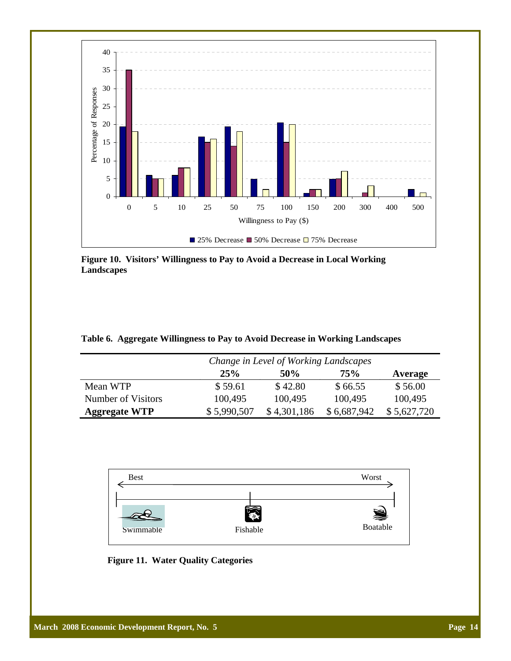

**Figure 10. Visitors' Willingness to Pay to Avoid a Decrease in Local Working Landscapes** 

|  | Table 6. Aggregate Willingness to Pay to Avoid Decrease in Working Landscapes |  |  |  |
|--|-------------------------------------------------------------------------------|--|--|--|
|  |                                                                               |  |  |  |

|                      |             | Change in Level of Working Landscapes |             |             |  |  |  |
|----------------------|-------------|---------------------------------------|-------------|-------------|--|--|--|
|                      | 25%         | 50%                                   | 75%         | Average     |  |  |  |
| Mean WTP             | \$59.61     | \$42.80                               | \$66.55     | \$56.00     |  |  |  |
| Number of Visitors   | 100,495     | 100,495                               | 100,495     | 100,495     |  |  |  |
| <b>Aggregate WTP</b> | \$5,990,507 | \$4,301,186                           | \$6,687,942 | \$5,627,720 |  |  |  |



**Figure 11. Water Quality Categories**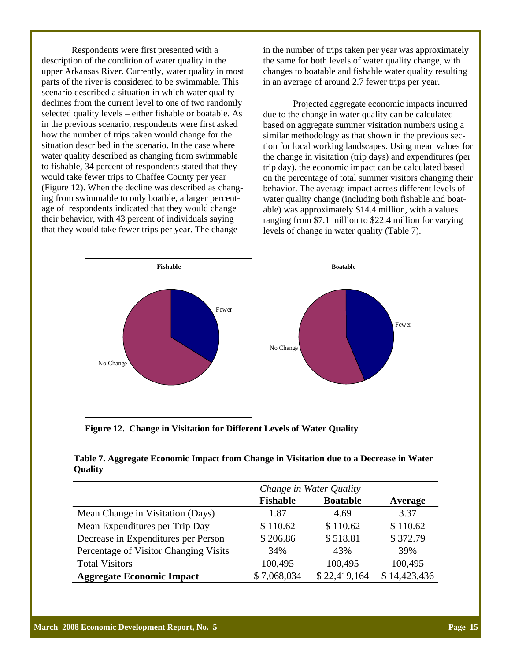Respondents were first presented with a description of the condition of water quality in the upper Arkansas River. Currently, water quality in most parts of the river is considered to be swimmable. This scenario described a situation in which water quality declines from the current level to one of two randomly selected quality levels – either fishable or boatable. As in the previous scenario, respondents were first asked how the number of trips taken would change for the situation described in the scenario. In the case where water quality described as changing from swimmable to fishable, 34 percent of respondents stated that they would take fewer trips to Chaffee County per year (Figure 12). When the decline was described as changing from swimmable to only boatble, a larger percentage of respondents indicated that they would change their behavior, with 43 percent of individuals saying that they would take fewer trips per year. The change

in the number of trips taken per year was approximately the same for both levels of water quality change, with changes to boatable and fishable water quality resulting in an average of around 2.7 fewer trips per year.

 Projected aggregate economic impacts incurred due to the change in water quality can be calculated based on aggregate summer visitation numbers using a similar methodology as that shown in the previous section for local working landscapes. Using mean values for the change in visitation (trip days) and expenditures (per trip day), the economic impact can be calculated based on the percentage of total summer visitors changing their behavior. The average impact across different levels of water quality change (including both fishable and boatable) was approximately \$14.4 million, with a values ranging from \$7.1 million to \$22.4 million for varying levels of change in water quality (Table 7).



**Figure 12. Change in Visitation for Different Levels of Water Quality** 

## **Table 7. Aggregate Economic Impact from Change in Visitation due to a Decrease in Water Quality**

|                                       | Change in Water Quality |                 |              |  |  |
|---------------------------------------|-------------------------|-----------------|--------------|--|--|
|                                       | <b>Fishable</b>         | <b>Boatable</b> | Average      |  |  |
| Mean Change in Visitation (Days)      | 1.87                    | 4.69            | 3.37         |  |  |
| Mean Expenditures per Trip Day        | \$110.62                | \$110.62        | \$110.62     |  |  |
| Decrease in Expenditures per Person   | \$206.86                | \$518.81        | \$372.79     |  |  |
| Percentage of Visitor Changing Visits | 34%                     | 43%             | 39%          |  |  |
| <b>Total Visitors</b>                 | 100,495                 | 100,495         | 100,495      |  |  |
| <b>Aggregate Economic Impact</b>      | \$7,068,034             | \$22,419,164    | \$14,423,436 |  |  |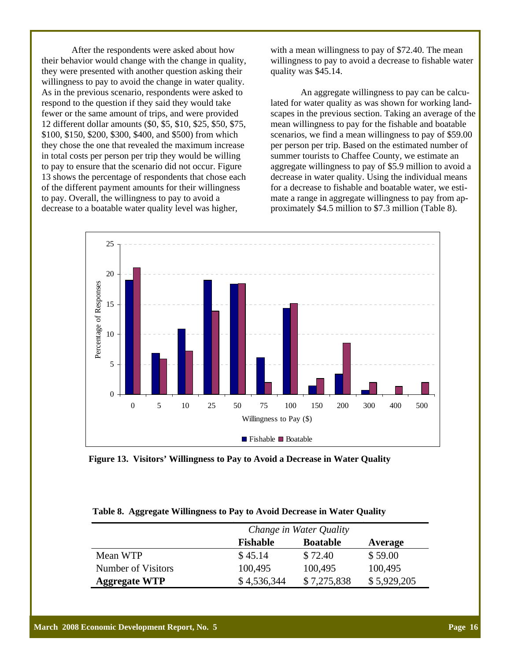After the respondents were asked about how their behavior would change with the change in quality, they were presented with another question asking their willingness to pay to avoid the change in water quality. As in the previous scenario, respondents were asked to respond to the question if they said they would take fewer or the same amount of trips, and were provided 12 different dollar amounts (\$0, \$5, \$10, \$25, \$50, \$75, \$100, \$150, \$200, \$300, \$400, and \$500) from which they chose the one that revealed the maximum increase in total costs per person per trip they would be willing to pay to ensure that the scenario did not occur. Figure 13 shows the percentage of respondents that chose each of the different payment amounts for their willingness to pay. Overall, the willingness to pay to avoid a decrease to a boatable water quality level was higher,

with a mean willingness to pay of \$72.40. The mean willingness to pay to avoid a decrease to fishable water quality was \$45.14.

 An aggregate willingness to pay can be calculated for water quality as was shown for working landscapes in the previous section. Taking an average of the mean willingness to pay for the fishable and boatable scenarios, we find a mean willingness to pay of \$59.00 per person per trip. Based on the estimated number of summer tourists to Chaffee County, we estimate an aggregate willingness to pay of \$5.9 million to avoid a decrease in water quality. Using the individual means for a decrease to fishable and boatable water, we estimate a range in aggregate willingness to pay from approximately \$4.5 million to \$7.3 million (Table 8).



**Figure 13. Visitors' Willingness to Pay to Avoid a Decrease in Water Quality** 

|  |  |  |  | Table 8. Aggregate Willingness to Pay to Avoid Decrease in Water Quality |  |  |
|--|--|--|--|--------------------------------------------------------------------------|--|--|
|--|--|--|--|--------------------------------------------------------------------------|--|--|

|                      | Change in Water Quality |                 |             |  |  |
|----------------------|-------------------------|-----------------|-------------|--|--|
|                      | <b>Fishable</b>         | <b>Boatable</b> | Average     |  |  |
| Mean WTP             | \$45.14                 | \$72.40         | \$59.00     |  |  |
| Number of Visitors   | 100,495                 | 100,495         | 100,495     |  |  |
| <b>Aggregate WTP</b> | \$4,536,344             | \$7,275,838     | \$5,929,205 |  |  |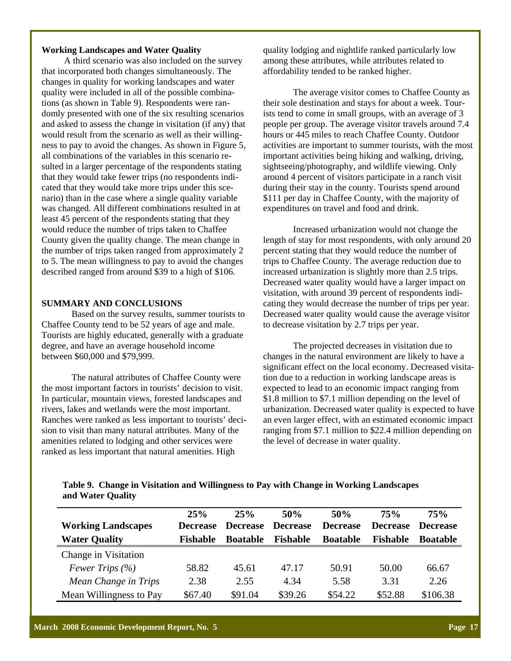# **Working Landscapes and Water Quality**

 A third scenario was also included on the survey that incorporated both changes simultaneously. The changes in quality for working landscapes and water quality were included in all of the possible combinations (as shown in Table 9). Respondents were randomly presented with one of the six resulting scenarios and asked to assess the change in visitation (if any) that would result from the scenario as well as their willingness to pay to avoid the changes. As shown in Figure 5, all combinations of the variables in this scenario resulted in a larger percentage of the respondents stating that they would take fewer trips (no respondents indicated that they would take more trips under this scenario) than in the case where a single quality variable was changed. All different combinations resulted in at least 45 percent of the respondents stating that they would reduce the number of trips taken to Chaffee County given the quality change. The mean change in the number of trips taken ranged from approximately 2 to 5. The mean willingness to pay to avoid the changes described ranged from around \$39 to a high of \$106.

## **SUMMARY AND CONCLUSIONS**

 Based on the survey results, summer tourists to Chaffee County tend to be 52 years of age and male. Tourists are highly educated, generally with a graduate degree, and have an average household income between \$60,000 and \$79,999.

 The natural attributes of Chaffee County were the most important factors in tourists' decision to visit. In particular, mountain views, forested landscapes and rivers, lakes and wetlands were the most important. Ranches were ranked as less important to tourists' decision to visit than many natural attributes. Many of the amenities related to lodging and other services were ranked as less important that natural amenities. High

quality lodging and nightlife ranked particularly low among these attributes, while attributes related to affordability tended to be ranked higher.

 The average visitor comes to Chaffee County as their sole destination and stays for about a week. Tourists tend to come in small groups, with an average of 3 people per group. The average visitor travels around 7.4 hours or 445 miles to reach Chaffee County. Outdoor activities are important to summer tourists, with the most important activities being hiking and walking, driving, sightseeing/photography, and wildlife viewing. Only around 4 percent of visitors participate in a ranch visit during their stay in the county. Tourists spend around \$111 per day in Chaffee County, with the majority of expenditures on travel and food and drink.

 Increased urbanization would not change the length of stay for most respondents, with only around 20 percent stating that they would reduce the number of trips to Chaffee County. The average reduction due to increased urbanization is slightly more than 2.5 trips. Decreased water quality would have a larger impact on visitation, with around 39 percent of respondents indicating they would decrease the number of trips per year. Decreased water quality would cause the average visitor to decrease visitation by 2.7 trips per year.

 The projected decreases in visitation due to changes in the natural environment are likely to have a significant effect on the local economy. Decreased visitation due to a reduction in working landscape areas is expected to lead to an economic impact ranging from \$1.8 million to \$7.1 million depending on the level of urbanization. Decreased water quality is expected to have an even larger effect, with an estimated economic impact ranging from \$7.1 million to \$22.4 million depending on the level of decrease in water quality.

**Table 9. Change in Visitation and Willingness to Pay with Change in Working Landscapes and Water Quality** 

| <b>Working Landscapes</b><br><b>Water Quality</b> | 25%<br><b>Decrease</b><br><b>Fishable</b> | 25%<br><b>Decrease</b><br><b>Boatable</b> | 50%<br><b>Decrease</b><br><b>Fishable</b> | 50%<br><b>Decrease</b><br><b>Boatable</b> | 75%<br><b>Decrease</b><br>Fishable | 75%<br><b>Decrease</b><br><b>Boatable</b> |
|---------------------------------------------------|-------------------------------------------|-------------------------------------------|-------------------------------------------|-------------------------------------------|------------------------------------|-------------------------------------------|
| Change in Visitation                              |                                           |                                           |                                           |                                           |                                    |                                           |
| Fewer Trips $(\% )$                               | 58.82                                     | 45.61                                     | 47.17                                     | 50.91                                     | 50.00                              | 66.67                                     |
| Mean Change in Trips                              | 2.38                                      | 2.55                                      | 4.34                                      | 5.58                                      | 3.31                               | 2.26                                      |
| Mean Willingness to Pay                           | \$67.40                                   | \$91.04                                   | \$39.26                                   | \$54.22                                   | \$52.88                            | \$106.38                                  |